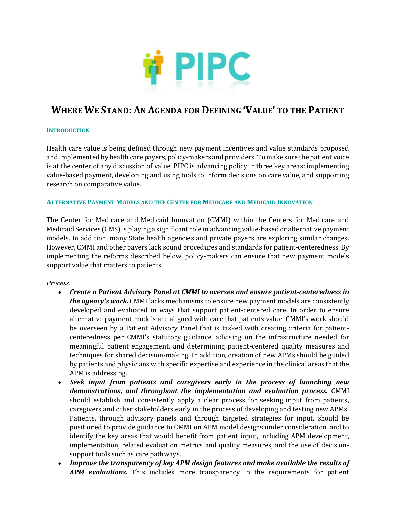

# **WHERE WE STAND: AN AGENDA FOR DEFINING 'VALUE' TO THE PATIENT**

#### **INTRODUCTION**

Health care value is being defined through new payment incentives and value standards proposed and implemented by health care payers, policy-makers and providers. To make sure the patient voice is at the center of any discussion of value, PIPC is advancing policy in three key areas: implementing value-based payment, developing and using tools to inform decisions on care value, and supporting research on comparative value.

#### **ALTERNATIVE PAYMENT MODELS AND THE CENTER FOR MEDICARE AND MEDICAID INNOVATION**

The Center for Medicare and Medicaid Innovation (CMMI) within the Centers for Medicare and Medicaid Services (CMS) is playing a significant role in advancing value-based or alternative payment models. In addition, many State health agencies and private payers are exploring similar changes. However, CMMI and other payers lack sound procedures and standards for patient-centeredness. By implementing the reforms described below, policy-makers can ensure that new payment models support value that matters to patients.

#### *Process:*

- *Create a Patient Advisory Panel at CMMI to oversee and ensure patient-centeredness in the agency's work.* CMMI lacks mechanisms to ensure new payment models are consistently developed and evaluated in ways that support patient-centered care. In order to ensure alternative payment models are aligned with care that patients value, CMMI's work should be overseen by a Patient Advisory Panel that is tasked with creating criteria for patientcenteredness per CMMI's statutory guidance, advising on the infrastructure needed for meaningful patient engagement, and determining patient-centered quality measures and techniques for shared decision-making. In addition, creation of new APMs should be guided by patients and physicians with specific expertise and experience in the clinical areas that the APM is addressing.
- *Seek input from patients and caregivers early in the process of launching new demonstrations, and throughout the implementation and evaluation process.* CMMI should establish and consistently apply a clear process for seeking input from patients, caregivers and other stakeholders early in the process of developing and testing new APMs. Patients, through advisory panels and through targeted strategies for input, should be positioned to provide guidance to CMMI on APM model designs under consideration, and to identify the key areas that would benefit from patient input, including APM development, implementation, related evaluation metrics and quality measures, and the use of decisionsupport tools such as care pathways.
- *Improve the transparency of key APM design features and make available the results of APM evaluations.* This includes more transparency in the requirements for patient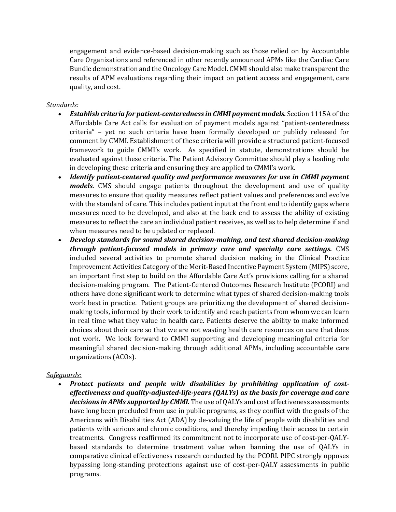engagement and evidence-based decision-making such as those relied on by Accountable Care Organizations and referenced in other recently announced APMs like the Cardiac Care Bundle demonstration and the Oncology Care Model. CMMI should also make transparent the results of APM evaluations regarding their impact on patient access and engagement, care quality, and cost.

### *Standards:*

- *Establish criteria for patient-centeredness in CMMI payment models.* Section 1115A of the Affordable Care Act calls for evaluation of payment models against "patient-centeredness criteria" – yet no such criteria have been formally developed or publicly released for comment by CMMI. Establishment of these criteria will provide a structured patient-focused framework to guide CMMI's work. As specified in statute, demonstrations should be evaluated against these criteria. The Patient Advisory Committee should play a leading role in developing these criteria and ensuring they are applied to CMMI's work.
- *Identify patient-centered quality and performance measures for use in CMMI payment models.* CMS should engage patients throughout the development and use of quality measures to ensure that quality measures reflect patient values and preferences and evolve with the standard of care. This includes patient input at the front end to identify gaps where measures need to be developed, and also at the back end to assess the ability of existing measures to reflect the care an individual patient receives, as well as to help determine if and when measures need to be updated or replaced.
- *Develop standards for sound shared decision-making, and test shared decision-making through patient-focused models in primary care and specialty care settings.* CMS included several activities to promote shared decision making in the Clinical Practice Improvement Activities Category of the Merit-Based Incentive Payment System (MIPS) score, an important first step to build on the Affordable Care Act's provisions calling for a shared decision-making program. The Patient-Centered Outcomes Research Institute (PCORI) and others have done significant work to determine what types of shared decision-making tools work best in practice. Patient groups are prioritizing the development of shared decisionmaking tools, informed by their work to identify and reach patients from whom we can learn in real time what they value in health care. Patients deserve the ability to make informed choices about their care so that we are not wasting health care resources on care that does not work. We look forward to CMMI supporting and developing meaningful criteria for meaningful shared decision-making through additional APMs, including accountable care organizations (ACOs).

## *Safeguards:*

• *Protect patients and people with disabilities by prohibiting application of costeffectiveness and quality-adjusted-life-years (QALYs) as the basis for coverage and care decisions in APMs supported by CMMI.* The use of QALYs and cost effectiveness assessments have long been precluded from use in public programs, as they conflict with the goals of the Americans with Disabilities Act (ADA) by de-valuing the life of people with disabilities and patients with serious and chronic conditions, and thereby impeding their access to certain treatments. Congress reaffirmed its commitment not to incorporate use of cost-per-QALYbased standards to determine treatment value when banning the use of QALYs in comparative clinical effectiveness research conducted by the PCORI. PIPC strongly opposes bypassing long-standing protections against use of cost-per-QALY assessments in public programs.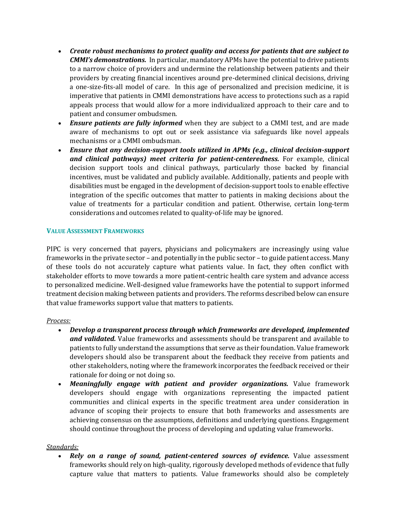- *Create robust mechanisms to protect quality and access for patients that are subject to CMMI's demonstrations.* In particular, mandatory APMs have the potential to drive patients to a narrow choice of providers and undermine the relationship between patients and their providers by creating financial incentives around pre-determined clinical decisions, driving a one-size-fits-all model of care. In this age of personalized and precision medicine, it is imperative that patients in CMMI demonstrations have access to protections such as a rapid appeals process that would allow for a more individualized approach to their care and to patient and consumer ombudsmen.
- *Ensure patients are fully informed* when they are subject to a CMMI test, and are made aware of mechanisms to opt out or seek assistance via safeguards like novel appeals mechanisms or a CMMI ombudsman.
- *Ensure that any decision-support tools utilized in APMs (e.g., clinical decision-support and clinical pathways) meet criteria for patient-centeredness.* For example, clinical decision support tools and clinical pathways, particularly those backed by financial incentives, must be validated and publicly available. Additionally, patients and people with disabilities must be engaged in the development of decision-support tools to enable effective integration of the specific outcomes that matter to patients in making decisions about the value of treatments for a particular condition and patient. Otherwise, certain long-term considerations and outcomes related to quality-of-life may be ignored.

## **VALUE ASSESSMENT FRAMEWORKS**

PIPC is very concerned that payers, physicians and policymakers are increasingly using value frameworks in the private sector – and potentially in the public sector – to guide patient access. Many of these tools do not accurately capture what patients value. In fact, they often conflict with stakeholder efforts to move towards a more patient-centric health care system and advance access to personalized medicine. Well-designed value frameworks have the potential to support informed treatment decision making between patients and providers. The reforms described below can ensure that value frameworks support value that matters to patients.

#### *Process:*

- *Develop a transparent process through which frameworks are developed, implemented and validated.* Value frameworks and assessments should be transparent and available to patients to fully understand the assumptions that serve as their foundation. Value framework developers should also be transparent about the feedback they receive from patients and other stakeholders, noting where the framework incorporates the feedback received or their rationale for doing or not doing so.
- *Meaningfully engage with patient and provider organizations.* Value framework developers should engage with organizations representing the impacted patient communities and clinical experts in the specific treatment area under consideration in advance of scoping their projects to ensure that both frameworks and assessments are achieving consensus on the assumptions, definitions and underlying questions. Engagement should continue throughout the process of developing and updating value frameworks.

#### *Standards:*

• *Rely on a range of sound, patient-centered sources of evidence.* Value assessment frameworks should rely on high-quality, rigorously developed methods of evidence that fully capture value that matters to patients. Value frameworks should also be completely